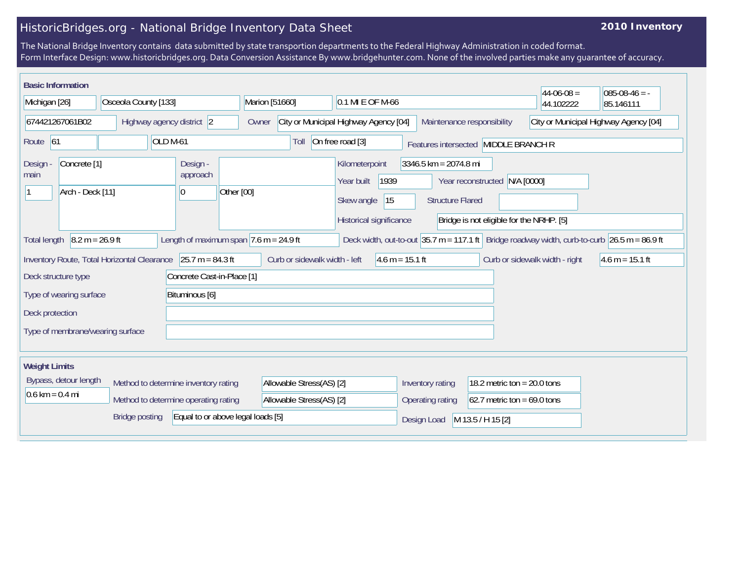## HistoricBridges.org - National Bridge Inventory Data Sheet

## **2010 Inventory**

The National Bridge Inventory contains data submitted by state transportion departments to the Federal Highway Administration in coded format. Form Interface Design: www.historicbridges.org. Data Conversion Assistance By www.bridgehunter.com. None of the involved parties make any guarantee of accuracy.

| <b>Basic Information</b>                                                                                                                                                                  |  |                                                                              |                  |                                                                                      |                                                    |                                                                           | $44-06-08 =$ | $085-08-46 = -$ |
|-------------------------------------------------------------------------------------------------------------------------------------------------------------------------------------------|--|------------------------------------------------------------------------------|------------------|--------------------------------------------------------------------------------------|----------------------------------------------------|---------------------------------------------------------------------------|--------------|-----------------|
| Michigan [26]<br>Osceola County [133]                                                                                                                                                     |  | Marion [51660]                                                               | 0.1 MI E OF M-66 |                                                                                      |                                                    | 44.102222                                                                 | 85.146111    |                 |
| 674421267061B02<br>Highway agency district 2                                                                                                                                              |  | City or Municipal Highway Agency [04]<br>Maintenance responsibility<br>Owner |                  | City or Municipal Highway Agency [04]                                                |                                                    |                                                                           |              |                 |
| OLD <sub>M-61</sub><br>Route 61                                                                                                                                                           |  |                                                                              | Toll             | On free road [3]                                                                     |                                                    | Features intersected MIDDLE BRANCH R                                      |              |                 |
| Concrete <sup>[1]</sup><br>Design -<br>main<br>Arch - Deck [11]                                                                                                                           |  | Design -<br>approach<br>Other [00]<br>10                                     |                  | Kilometerpoint<br>1939<br>Year built<br> 15<br>Skew angle<br>Historical significance | $3346.5$ km = 2074.8 mi<br><b>Structure Flared</b> | Year reconstructed N/A [0000]<br>Bridge is not eligible for the NRHP. [5] |              |                 |
| $8.2 m = 26.9 ft$<br>Length of maximum span $ 7.6$ m = 24.9 ft<br>Deck width, out-to-out $35.7$ m = 117.1 ft Bridge roadway width, curb-to-curb $26.5$ m = 86.9 ft<br><b>Total length</b> |  |                                                                              |                  |                                                                                      |                                                    |                                                                           |              |                 |
| $25.7 m = 84.3 ft$<br>Curb or sidewalk width - left<br>$4.6 m = 15.1 ft$<br>Curb or sidewalk width - right<br>Inventory Route, Total Horizontal Clearance<br>$4.6 m = 15.1 ft$            |  |                                                                              |                  |                                                                                      |                                                    |                                                                           |              |                 |
| Deck structure type<br>Concrete Cast-in-Place [1]                                                                                                                                         |  |                                                                              |                  |                                                                                      |                                                    |                                                                           |              |                 |
| Bituminous [6]<br>Type of wearing surface                                                                                                                                                 |  |                                                                              |                  |                                                                                      |                                                    |                                                                           |              |                 |
| Deck protection                                                                                                                                                                           |  |                                                                              |                  |                                                                                      |                                                    |                                                                           |              |                 |
| Type of membrane/wearing surface                                                                                                                                                          |  |                                                                              |                  |                                                                                      |                                                    |                                                                           |              |                 |
| <b>Weight Limits</b>                                                                                                                                                                      |  |                                                                              |                  |                                                                                      |                                                    |                                                                           |              |                 |
| Bypass, detour length<br>Method to determine inventory rating                                                                                                                             |  | Allowable Stress(AS) [2]                                                     |                  | Inventory rating                                                                     | 18.2 metric ton = $20.0$ tons                      |                                                                           |              |                 |
| $0.6 \text{ km} = 0.4 \text{ mi}$<br>Method to determine operating rating                                                                                                                 |  |                                                                              |                  | Allowable Stress(AS) [2]                                                             |                                                    | 62.7 metric ton = $69.0$ tons                                             |              |                 |
| Equal to or above legal loads [5]<br><b>Bridge posting</b>                                                                                                                                |  |                                                                              |                  | Design Load                                                                          | M 13.5 / H 15 [2]                                  |                                                                           |              |                 |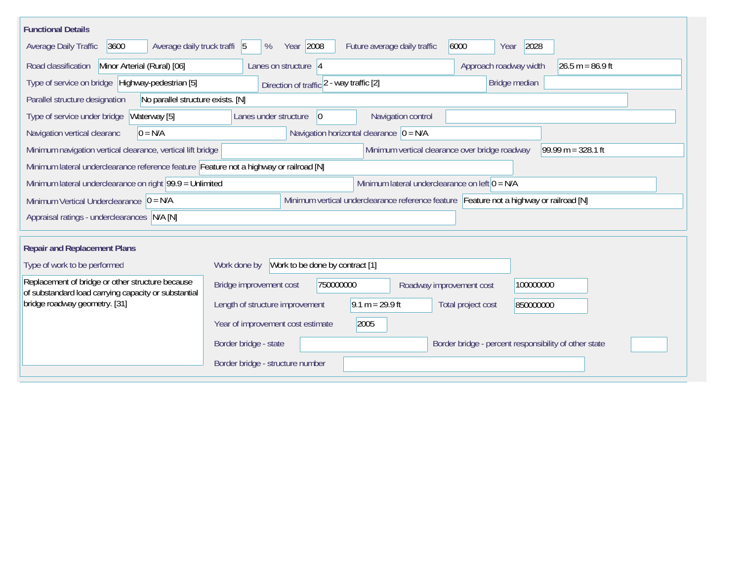| <b>Functional Details</b>                                                                                                             |                                                                                         |  |  |  |  |  |
|---------------------------------------------------------------------------------------------------------------------------------------|-----------------------------------------------------------------------------------------|--|--|--|--|--|
| 3600<br>Average daily truck traffi 5<br>Average Daily Traffic                                                                         | Year 2008<br>2028<br>6000<br>Future average daily traffic<br>%<br>Year                  |  |  |  |  |  |
| Minor Arterial (Rural) [06]<br>Road classification                                                                                    | Approach roadway width<br>$26.5 m = 86.9 ft$<br>Lanes on structure $ 4 $                |  |  |  |  |  |
| Type of service on bridge Highway-pedestrian [5]                                                                                      | Bridge median<br>Direction of traffic 2 - way traffic [2]                               |  |  |  |  |  |
| Parallel structure designation<br>No parallel structure exists. [N]                                                                   |                                                                                         |  |  |  |  |  |
| Waterway [5]<br>Type of service under bridge                                                                                          | Navigation control<br>Lanes under structure<br>$\overline{0}$                           |  |  |  |  |  |
| Navigation vertical clearanc<br>$0 = N/A$                                                                                             | Navigation horizontal clearance $ 0 = N/A$                                              |  |  |  |  |  |
| Minimum navigation vertical clearance, vertical lift bridge                                                                           | Minimum vertical clearance over bridge roadway<br>99.99 m = $328.1$ ft                  |  |  |  |  |  |
| Minimum lateral underclearance reference feature Feature not a highway or railroad [N]                                                |                                                                                         |  |  |  |  |  |
| Minimum lateral underclearance on left $0 = N/A$<br>Minimum lateral underclearance on right $99.9 =$ Unlimited                        |                                                                                         |  |  |  |  |  |
| Minimum vertical underclearance reference feature Feature not a highway or railroad [N]<br>Minimum Vertical Underclearance $ 0 = N/A$ |                                                                                         |  |  |  |  |  |
| Appraisal ratings - underclearances N/A [N]                                                                                           |                                                                                         |  |  |  |  |  |
|                                                                                                                                       |                                                                                         |  |  |  |  |  |
| <b>Repair and Replacement Plans</b>                                                                                                   |                                                                                         |  |  |  |  |  |
| Type of work to be performed                                                                                                          | Work to be done by contract [1]<br>Work done by                                         |  |  |  |  |  |
| Replacement of bridge or other structure because<br>of substandard load carrying capacity or substantial                              | Bridge improvement cost<br>750000000<br>100000000<br>Roadway improvement cost           |  |  |  |  |  |
| bridge roadway geometry. [31]                                                                                                         | $9.1 m = 29.9 ft$<br>Length of structure improvement<br>Total project cost<br>850000000 |  |  |  |  |  |
|                                                                                                                                       | 2005<br>Year of improvement cost estimate                                               |  |  |  |  |  |
|                                                                                                                                       | Border bridge - state<br>Border bridge - percent responsibility of other state          |  |  |  |  |  |
|                                                                                                                                       | Border bridge - structure number                                                        |  |  |  |  |  |